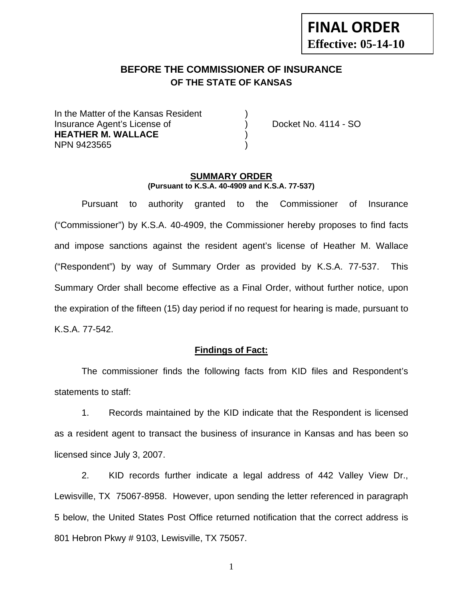# **FINAL ORDER Effective: 05-14-10**

# **BEFORE THE COMMISSIONER OF INSURANCE OF THE STATE OF KANSAS**

In the Matter of the Kansas Resident Insurance Agent's License of ) Docket No. 4114 - SO **HEATHER M. WALLACE** ) NPN 9423565 )

#### **SUMMARY ORDER (Pursuant to K.S.A. 40-4909 and K.S.A. 77-537)**

 Pursuant to authority granted to the Commissioner of Insurance ("Commissioner") by K.S.A. 40-4909, the Commissioner hereby proposes to find facts and impose sanctions against the resident agent's license of Heather M. Wallace ("Respondent") by way of Summary Order as provided by K.S.A. 77-537. This Summary Order shall become effective as a Final Order, without further notice, upon the expiration of the fifteen (15) day period if no request for hearing is made, pursuant to K.S.A. 77-542.

#### **Findings of Fact:**

 The commissioner finds the following facts from KID files and Respondent's statements to staff:

 1. Records maintained by the KID indicate that the Respondent is licensed as a resident agent to transact the business of insurance in Kansas and has been so licensed since July 3, 2007.

 2. KID records further indicate a legal address of 442 Valley View Dr., Lewisville, TX 75067-8958. However, upon sending the letter referenced in paragraph 5 below, the United States Post Office returned notification that the correct address is 801 Hebron Pkwy # 9103, Lewisville, TX 75057.

1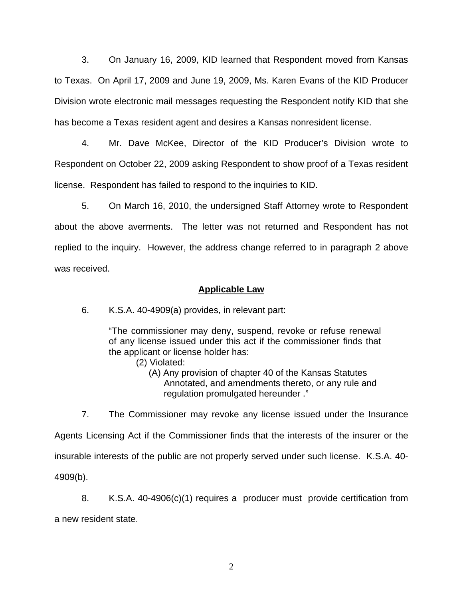3. On January 16, 2009, KID learned that Respondent moved from Kansas to Texas. On April 17, 2009 and June 19, 2009, Ms. Karen Evans of the KID Producer Division wrote electronic mail messages requesting the Respondent notify KID that she has become a Texas resident agent and desires a Kansas nonresident license.

 4. Mr. Dave McKee, Director of the KID Producer's Division wrote to Respondent on October 22, 2009 asking Respondent to show proof of a Texas resident license. Respondent has failed to respond to the inquiries to KID.

 5. On March 16, 2010, the undersigned Staff Attorney wrote to Respondent about the above averments. The letter was not returned and Respondent has not replied to the inquiry. However, the address change referred to in paragraph 2 above was received.

#### **Applicable Law**

6. K.S.A. 40-4909(a) provides, in relevant part:

"The commissioner may deny, suspend, revoke or refuse renewal of any license issued under this act if the commissioner finds that the applicant or license holder has:

- (2) Violated:
	- (A) Any provision of chapter 40 of the Kansas Statutes Annotated, and amendments thereto, or any rule and regulation promulgated hereunder ."

 7. The Commissioner may revoke any license issued under the Insurance Agents Licensing Act if the Commissioner finds that the interests of the insurer or the insurable interests of the public are not properly served under such license. K.S.A. 40- 4909(b).

 8. K.S.A. 40-4906(c)(1) requires a producer must provide certification from a new resident state.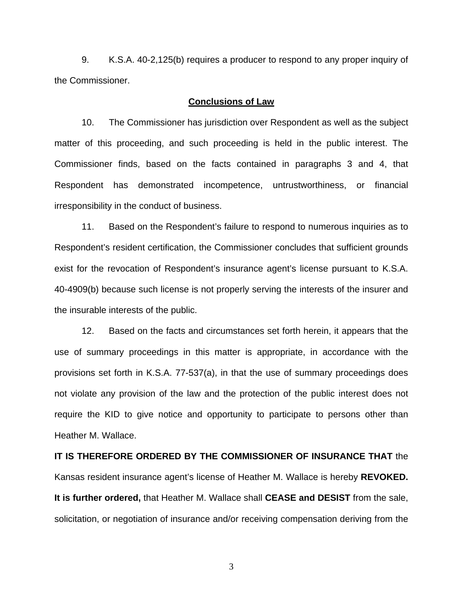9. K.S.A. 40-2,125(b) requires a producer to respond to any proper inquiry of the Commissioner.

#### **Conclusions of Law**

 10. The Commissioner has jurisdiction over Respondent as well as the subject matter of this proceeding, and such proceeding is held in the public interest. The Commissioner finds, based on the facts contained in paragraphs 3 and 4, that Respondent has demonstrated incompetence, untrustworthiness, or financial irresponsibility in the conduct of business.

 11. Based on the Respondent's failure to respond to numerous inquiries as to Respondent's resident certification, the Commissioner concludes that sufficient grounds exist for the revocation of Respondent's insurance agent's license pursuant to K.S.A. 40-4909(b) because such license is not properly serving the interests of the insurer and the insurable interests of the public.

 12. Based on the facts and circumstances set forth herein, it appears that the use of summary proceedings in this matter is appropriate, in accordance with the provisions set forth in K.S.A. 77-537(a), in that the use of summary proceedings does not violate any provision of the law and the protection of the public interest does not require the KID to give notice and opportunity to participate to persons other than Heather M. Wallace.

**IT IS THEREFORE ORDERED BY THE COMMISSIONER OF INSURANCE THAT** the Kansas resident insurance agent's license of Heather M. Wallace is hereby **REVOKED. It is further ordered,** that Heather M. Wallace shall **CEASE and DESIST** from the sale, solicitation, or negotiation of insurance and/or receiving compensation deriving from the

3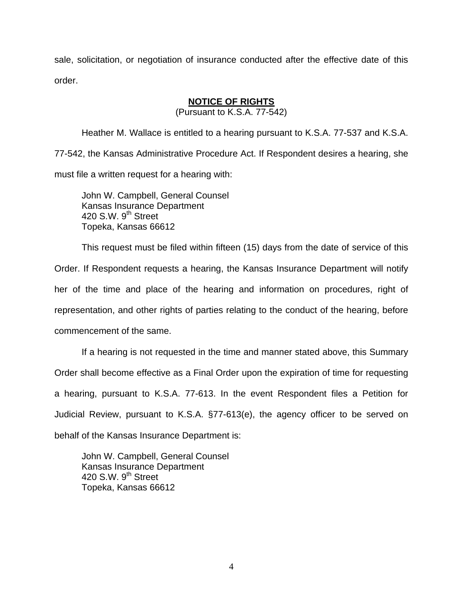sale, solicitation, or negotiation of insurance conducted after the effective date of this order.

### **NOTICE OF RIGHTS**

(Pursuant to K.S.A. 77-542)

Heather M. Wallace is entitled to a hearing pursuant to K.S.A. 77-537 and K.S.A. 77-542, the Kansas Administrative Procedure Act. If Respondent desires a hearing, she must file a written request for a hearing with:

 John W. Campbell, General Counsel Kansas Insurance Department 420 S.W. 9<sup>th</sup> Street Topeka, Kansas 66612

This request must be filed within fifteen (15) days from the date of service of this Order. If Respondent requests a hearing, the Kansas Insurance Department will notify her of the time and place of the hearing and information on procedures, right of representation, and other rights of parties relating to the conduct of the hearing, before commencement of the same.

If a hearing is not requested in the time and manner stated above, this Summary Order shall become effective as a Final Order upon the expiration of time for requesting a hearing, pursuant to K.S.A. 77-613. In the event Respondent files a Petition for Judicial Review, pursuant to K.S.A. §77-613(e), the agency officer to be served on behalf of the Kansas Insurance Department is:

 John W. Campbell, General Counsel Kansas Insurance Department 420 S.W. 9<sup>th</sup> Street Topeka, Kansas 66612